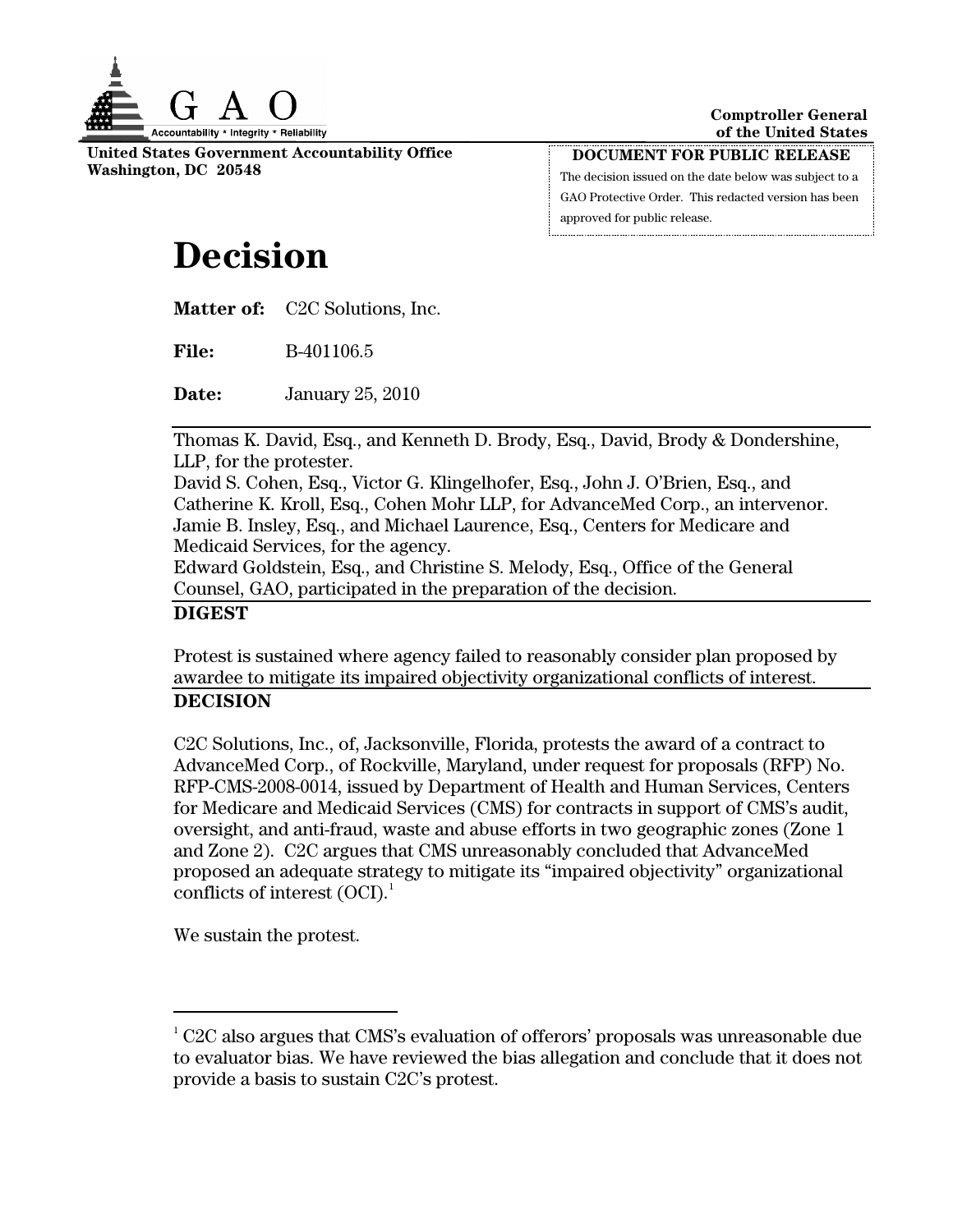

**United States Government Accountability Office Washington, DC 20548** 

**DOCUMENT FOR PUBLIC RELEASE** The decision issued on the date below was subject to a GAO Protective Order. This redacted version has been approved for public release.

# **Decision**

**Matter of:** C2C Solutions, Inc.

**File:** B-401106.5

**Date:** January 25, 2010

Thomas K. David, Esq., and Kenneth D. Brody, Esq., David, Brody & Dondershine, LLP, for the protester.

David S. Cohen, Esq., Victor G. Klingelhofer, Esq., John J. O'Brien, Esq., and Catherine K. Kroll, Esq., Cohen Mohr LLP, for AdvanceMed Corp., an intervenor. Jamie B. Insley, Esq., and Michael Laurence, Esq., Centers for Medicare and Medicaid Services, for the agency.

Edward Goldstein, Esq., and Christine S. Melody, Esq., Office of the General Counsel, GAO, participated in the preparation of the decision.

## **DIGEST**

Protest is sustained where agency failed to reasonably consider plan proposed by awardee to mitigate its impaired objectivity organizational conflicts of interest. **DECISION** 

C2C Solutions, Inc., of, Jacksonville, Florida, protests the award of a contract to AdvanceMed Corp., of Rockville, Maryland, under request for proposals (RFP) No. RFP-CMS-2008-0014, issued by Department of Health and Human Services, Centers for Medicare and Medicaid Services (CMS) for contracts in support of CMS's audit, oversight, and anti-fraud, waste and abuse efforts in two geographic zones (Zone 1 and Zone 2). C2C argues that CMS unreasonably concluded that AdvanceMed proposed an adequate strategy to mitigate its "impaired objectivity" organizational conflicts of interest  $(OCI)^1$  $(OCI)^1$ .

We sustain the protest.

<span id="page-0-0"></span> $1^1$  C2C also argues that CMS's evaluation of offerors' proposals was unreasonable due to evaluator bias. We have reviewed the bias allegation and conclude that it does not provide a basis to sustain C2C's protest.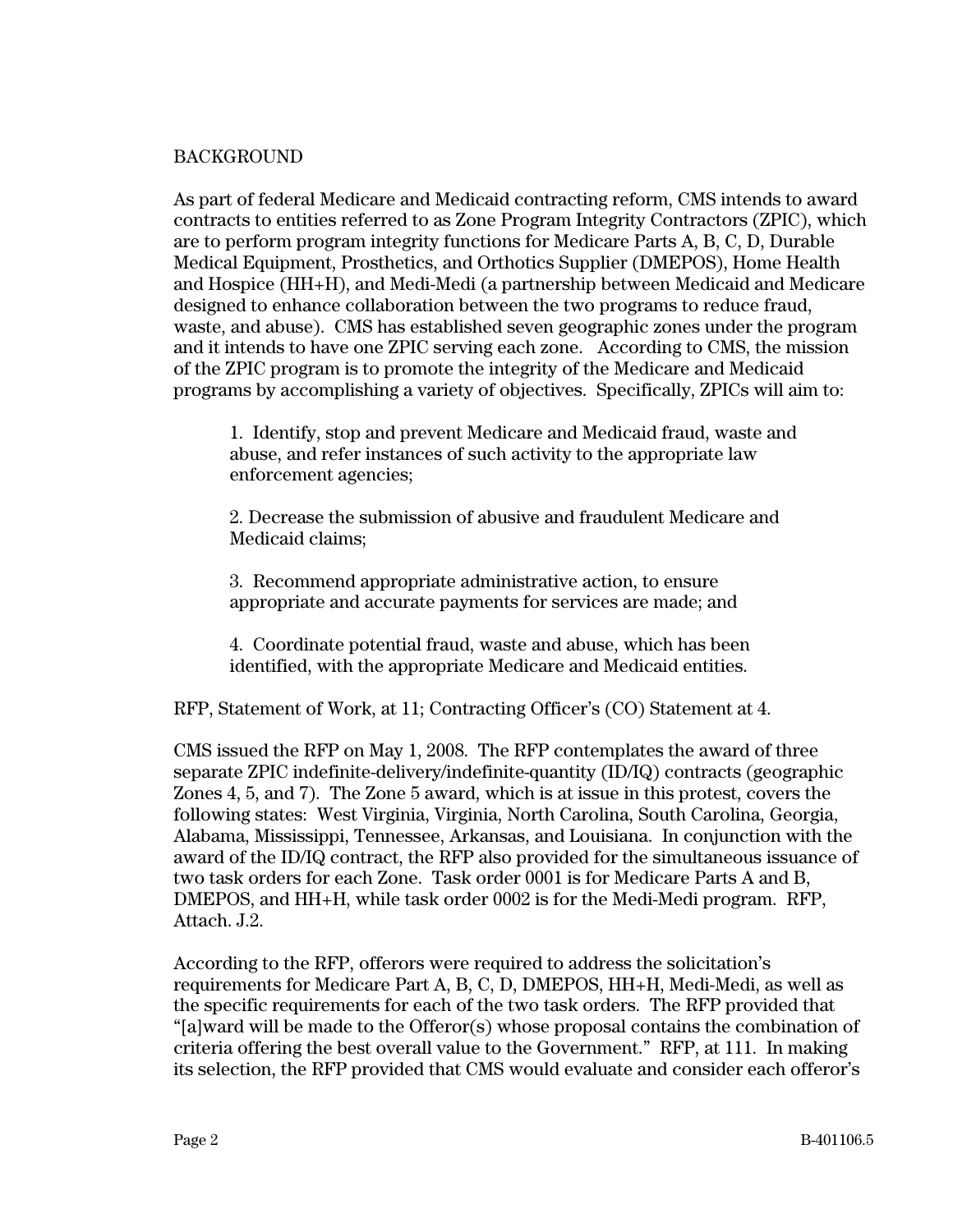#### BACKGROUND

As part of federal Medicare and Medicaid contracting reform, CMS intends to award contracts to entities referred to as Zone Program Integrity Contractors (ZPIC), which are to perform program integrity functions for Medicare Parts A, B, C, D, Durable Medical Equipment, Prosthetics, and Orthotics Supplier (DMEPOS), Home Health and Hospice (HH+H), and Medi-Medi (a partnership between Medicaid and Medicare designed to enhance collaboration between the two programs to reduce fraud, waste, and abuse). CMS has established seven geographic zones under the program and it intends to have one ZPIC serving each zone. According to CMS, the mission of the ZPIC program is to promote the integrity of the Medicare and Medicaid programs by accomplishing a variety of objectives. Specifically, ZPICs will aim to:

1. Identify, stop and prevent Medicare and Medicaid fraud, waste and abuse, and refer instances of such activity to the appropriate law enforcement agencies;

2. Decrease the submission of abusive and fraudulent Medicare and Medicaid claims;

3. Recommend appropriate administrative action, to ensure appropriate and accurate payments for services are made; and

4. Coordinate potential fraud, waste and abuse, which has been identified, with the appropriate Medicare and Medicaid entities.

RFP, Statement of Work, at 11; Contracting Officer's (CO) Statement at 4.

CMS issued the RFP on May 1, 2008. The RFP contemplates the award of three separate ZPIC indefinite-delivery/indefinite-quantity (ID/IQ) contracts (geographic Zones 4, 5, and 7). The Zone 5 award, which is at issue in this protest, covers the following states: West Virginia, Virginia, North Carolina, South Carolina, Georgia, Alabama, Mississippi, Tennessee, Arkansas, and Louisiana. In conjunction with the award of the ID/IQ contract, the RFP also provided for the simultaneous issuance of two task orders for each Zone. Task order 0001 is for Medicare Parts A and B, DMEPOS, and HH+H, while task order 0002 is for the Medi-Medi program. RFP, Attach. J.2.

According to the RFP, offerors were required to address the solicitation's requirements for Medicare Part A, B, C, D, DMEPOS, HH+H, Medi-Medi, as well as the specific requirements for each of the two task orders. The RFP provided that "[a]ward will be made to the Offeror(s) whose proposal contains the combination of criteria offering the best overall value to the Government." RFP, at 111. In making its selection, the RFP provided that CMS would evaluate and consider each offeror's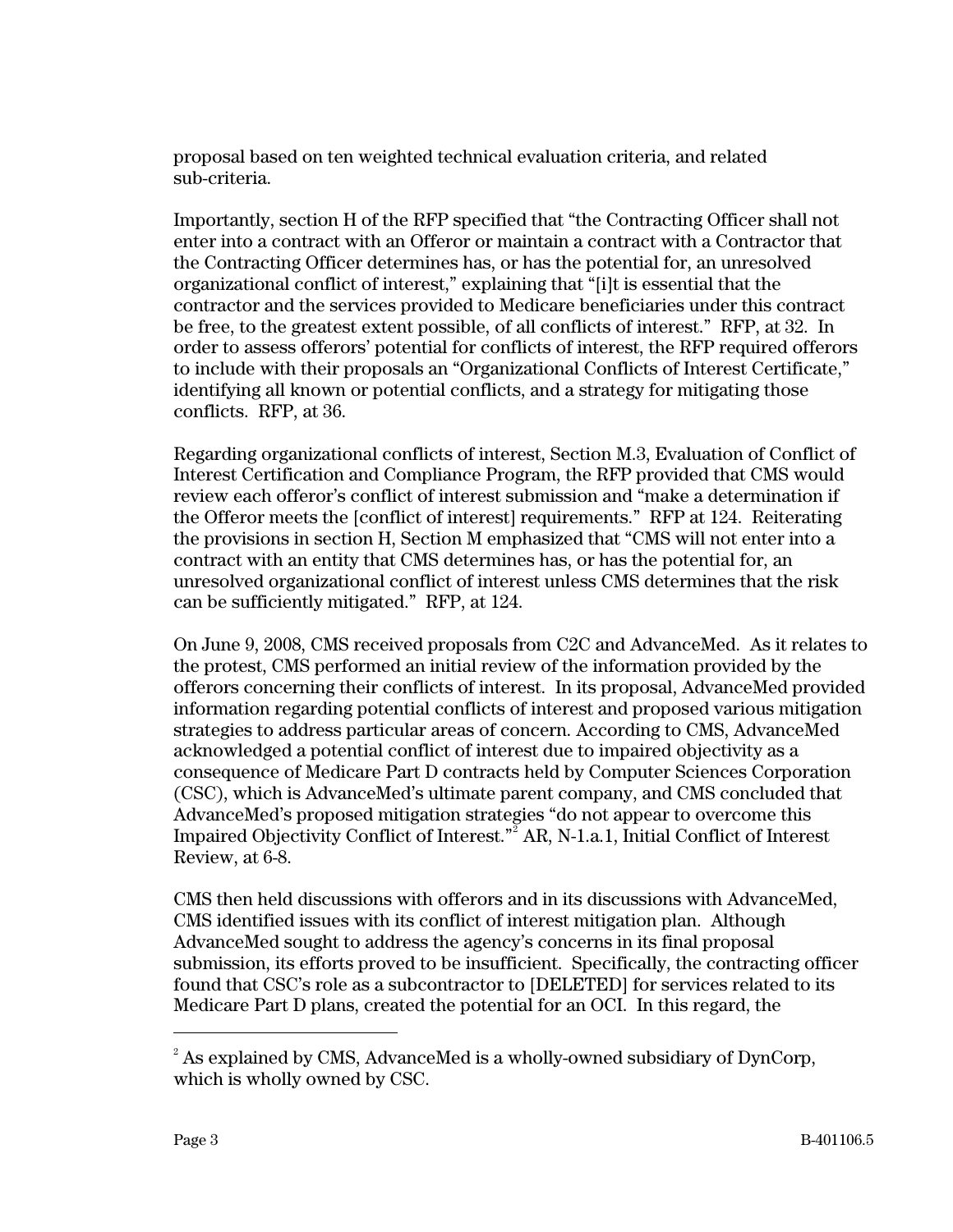proposal based on ten weighted technical evaluation criteria, and related sub-criteria.

Importantly, section H of the RFP specified that "the Contracting Officer shall not enter into a contract with an Offeror or maintain a contract with a Contractor that the Contracting Officer determines has, or has the potential for, an unresolved organizational conflict of interest," explaining that "[i]t is essential that the contractor and the services provided to Medicare beneficiaries under this contract be free, to the greatest extent possible, of all conflicts of interest." RFP, at 32. In order to assess offerors' potential for conflicts of interest, the RFP required offerors to include with their proposals an "Organizational Conflicts of Interest Certificate," identifying all known or potential conflicts, and a strategy for mitigating those conflicts. RFP, at 36.

Regarding organizational conflicts of interest, Section M.3, Evaluation of Conflict of Interest Certification and Compliance Program, the RFP provided that CMS would review each offeror's conflict of interest submission and "make a determination if the Offeror meets the [conflict of interest] requirements." RFP at 124. Reiterating the provisions in section H, Section M emphasized that "CMS will not enter into a contract with an entity that CMS determines has, or has the potential for, an unresolved organizational conflict of interest unless CMS determines that the risk can be sufficiently mitigated." RFP, at 124.

On June 9, 2008, CMS received proposals from C2C and AdvanceMed. As it relates to the protest, CMS performed an initial review of the information provided by the offerors concerning their conflicts of interest. In its proposal, AdvanceMed provided information regarding potential conflicts of interest and proposed various mitigation strategies to address particular areas of concern. According to CMS, AdvanceMed acknowledged a potential conflict of interest due to impaired objectivity as a consequence of Medicare Part D contracts held by Computer Sciences Corporation (CSC), which is AdvanceMed's ultimate parent company, and CMS concluded that AdvanceMed's proposed mitigation strategies "do not appear to overcome this Impaired Objectivity Conflict of Interest."<sup>[2](#page-2-0)</sup> AR, N-1.a.1, Initial Conflict of Interest Review, at 6-8.

CMS then held discussions with offerors and in its discussions with AdvanceMed, CMS identified issues with its conflict of interest mitigation plan. Although AdvanceMed sought to address the agency's concerns in its final proposal submission, its efforts proved to be insufficient. Specifically, the contracting officer found that CSC's role as a subcontractor to [DELETED] for services related to its Medicare Part D plans, created the potential for an OCI. In this regard, the

<span id="page-2-0"></span> $^2$  As explained by CMS, AdvanceMed is a wholly-owned subsidiary of DynCorp, which is wholly owned by CSC.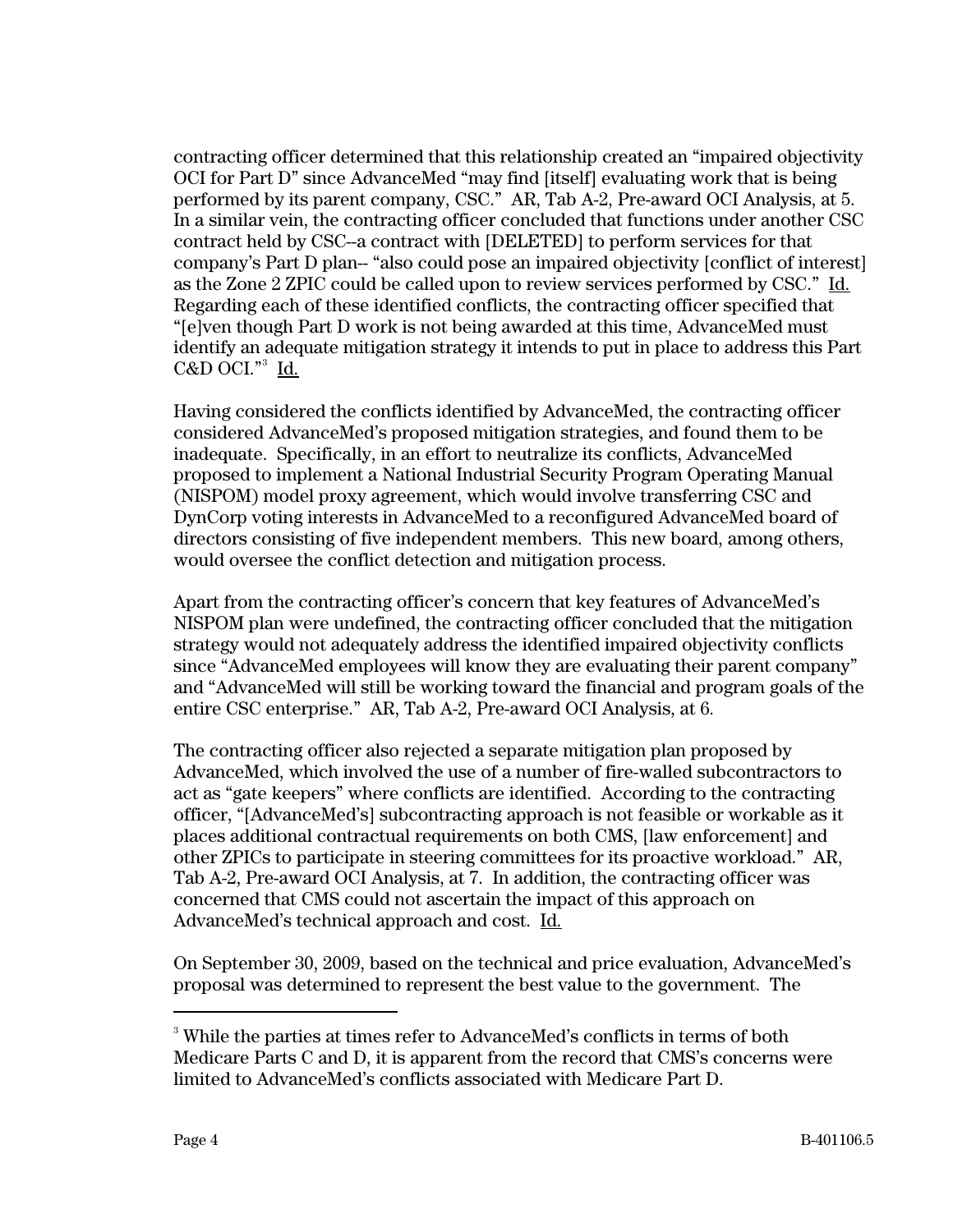contracting officer determined that this relationship created an "impaired objectivity OCI for Part D" since AdvanceMed "may find [itself] evaluating work that is being performed by its parent company, CSC." AR, Tab A-2, Pre-award OCI Analysis, at 5. In a similar vein, the contracting officer concluded that functions under another CSC contract held by CSC--a contract with [DELETED] to perform services for that company's Part D plan-- "also could pose an impaired objectivity [conflict of interest] as the Zone 2 ZPIC could be called upon to review services performed by CSC." Id. Regarding each of these identified conflicts, the contracting officer specified that "[e]ven though Part D work is not being awarded at this time, AdvanceMed must identify an adequate mitigation strategy it intends to put in place to address this Part C&D OCI."<sup>[3](#page-3-0)</sup> <u>Id.</u>

Having considered the conflicts identified by AdvanceMed, the contracting officer considered AdvanceMed's proposed mitigation strategies, and found them to be inadequate. Specifically, in an effort to neutralize its conflicts, AdvanceMed proposed to implement a National Industrial Security Program Operating Manual (NISPOM) model proxy agreement, which would involve transferring CSC and DynCorp voting interests in AdvanceMed to a reconfigured AdvanceMed board of directors consisting of five independent members. This new board, among others, would oversee the conflict detection and mitigation process.

Apart from the contracting officer's concern that key features of AdvanceMed's NISPOM plan were undefined, the contracting officer concluded that the mitigation strategy would not adequately address the identified impaired objectivity conflicts since "AdvanceMed employees will know they are evaluating their parent company" and "AdvanceMed will still be working toward the financial and program goals of the entire CSC enterprise." AR, Tab A-2, Pre-award OCI Analysis, at 6.

The contracting officer also rejected a separate mitigation plan proposed by AdvanceMed, which involved the use of a number of fire-walled subcontractors to act as "gate keepers" where conflicts are identified. According to the contracting officer, "[AdvanceMed's] subcontracting approach is not feasible or workable as it places additional contractual requirements on both CMS, [law enforcement] and other ZPICs to participate in steering committees for its proactive workload." AR, Tab A-2, Pre-award OCI Analysis, at 7. In addition, the contracting officer was concerned that CMS could not ascertain the impact of this approach on AdvanceMed's technical approach and cost. Id.

On September 30, 2009, based on the technical and price evaluation, AdvanceMed's proposal was determined to represent the best value to the government. The

<span id="page-3-0"></span><sup>&</sup>lt;sup>3</sup> While the parties at times refer to AdvanceMed's conflicts in terms of both Medicare Parts C and D, it is apparent from the record that CMS's concerns were limited to AdvanceMed's conflicts associated with Medicare Part D.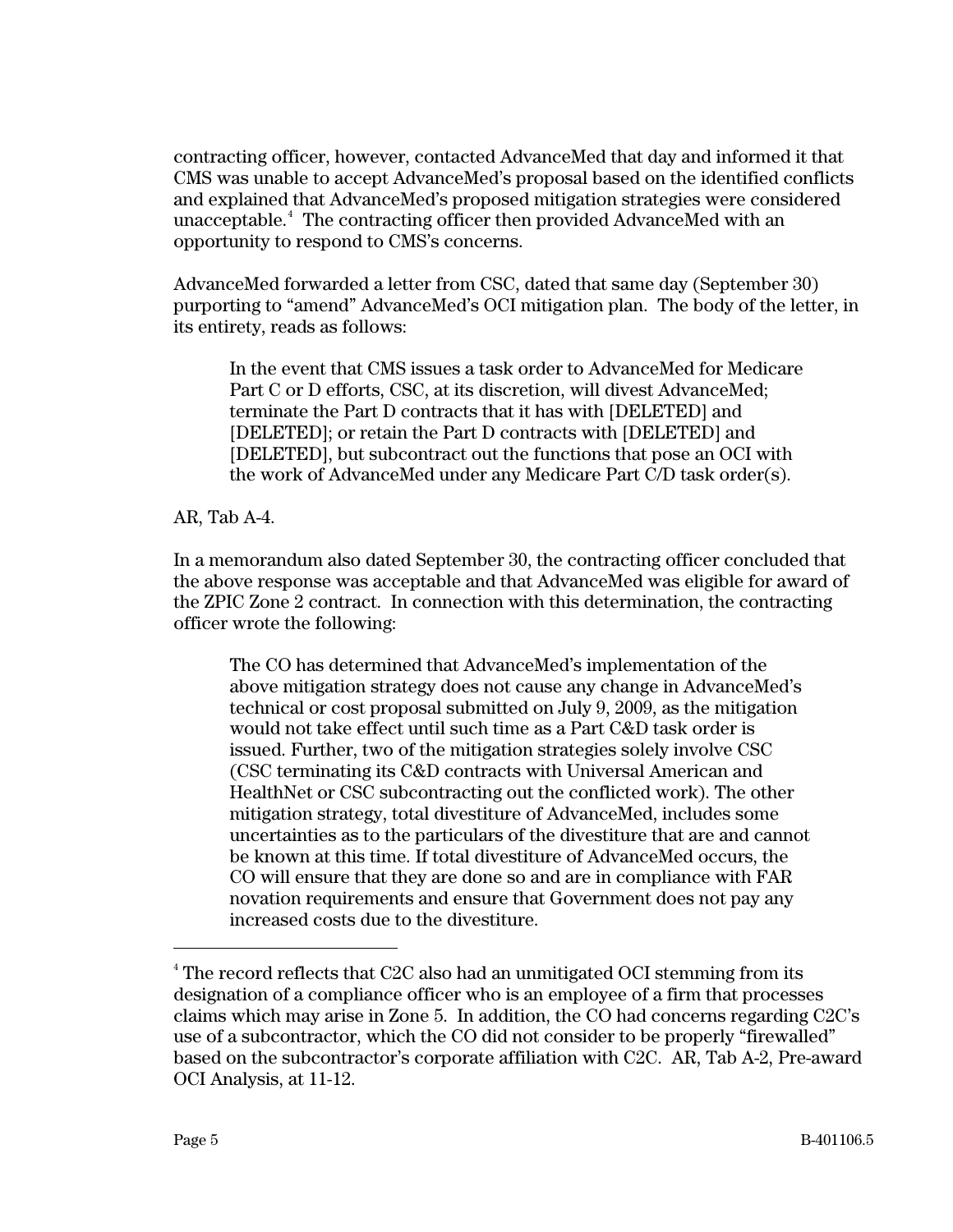contracting officer, however, contacted AdvanceMed that day and informed it that CMS was unable to accept AdvanceMed's proposal based on the identified conflicts and explained that AdvanceMed's proposed mitigation strategies were considered unacceptable.[4](#page-4-0) The contracting officer then provided AdvanceMed with an opportunity to respond to CMS's concerns.

AdvanceMed forwarded a letter from CSC, dated that same day (September 30) purporting to "amend" AdvanceMed's OCI mitigation plan. The body of the letter, in its entirety, reads as follows:

In the event that CMS issues a task order to AdvanceMed for Medicare Part C or D efforts, CSC, at its discretion, will divest AdvanceMed; terminate the Part D contracts that it has with [DELETED] and [DELETED]; or retain the Part D contracts with [DELETED] and [DELETED], but subcontract out the functions that pose an OCI with the work of AdvanceMed under any Medicare Part C/D task order(s).

AR, Tab A-4.

In a memorandum also dated September 30, the contracting officer concluded that the above response was acceptable and that AdvanceMed was eligible for award of the ZPIC Zone 2 contract. In connection with this determination, the contracting officer wrote the following:

The CO has determined that AdvanceMed's implementation of the above mitigation strategy does not cause any change in AdvanceMed's technical or cost proposal submitted on July 9, 2009, as the mitigation would not take effect until such time as a Part C&D task order is issued. Further, two of the mitigation strategies solely involve CSC (CSC terminating its C&D contracts with Universal American and HealthNet or CSC subcontracting out the conflicted work). The other mitigation strategy, total divestiture of AdvanceMed, includes some uncertainties as to the particulars of the divestiture that are and cannot be known at this time. If total divestiture of AdvanceMed occurs, the CO will ensure that they are done so and are in compliance with FAR novation requirements and ensure that Government does not pay any increased costs due to the divestiture.

<span id="page-4-0"></span><sup>&</sup>lt;sup>4</sup> The record reflects that C2C also had an unmitigated OCI stemming from its designation of a compliance officer who is an employee of a firm that processes claims which may arise in Zone 5. In addition, the CO had concerns regarding C2C's use of a subcontractor, which the CO did not consider to be properly "firewalled" based on the subcontractor's corporate affiliation with C2C. AR, Tab A-2, Pre-award OCI Analysis, at 11-12.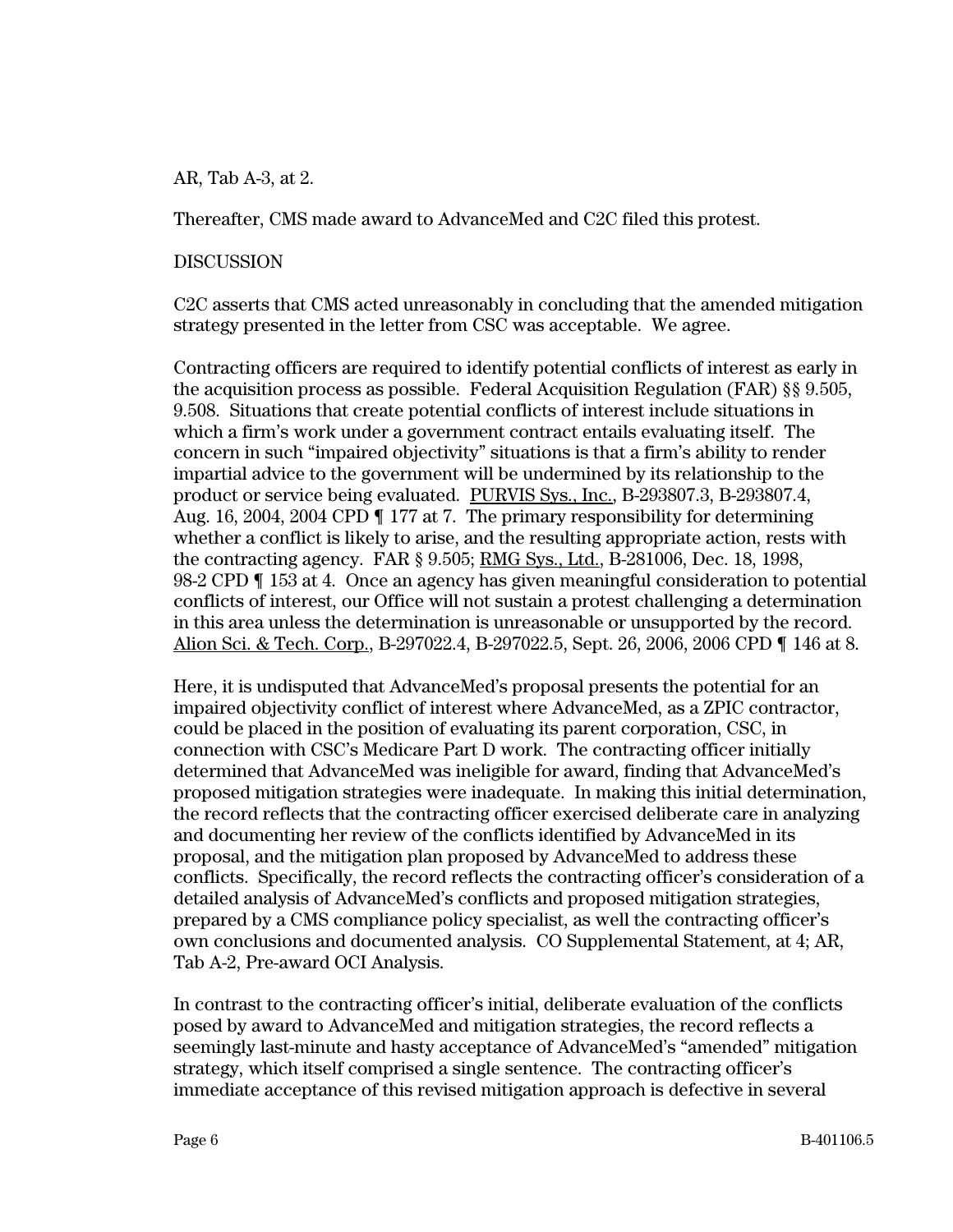AR, Tab A-3, at 2.

Thereafter, CMS made award to AdvanceMed and C2C filed this protest.

#### DISCUSSION

C2C asserts that CMS acted unreasonably in concluding that the amended mitigation strategy presented in the letter from CSC was acceptable. We agree.

Contracting officers are required to identify potential conflicts of interest as early in the acquisition process as possible. Federal Acquisition Regulation (FAR) §§ 9.505, 9.508. Situations that create potential conflicts of interest include situations in which a firm's work under a government contract entails evaluating itself. The concern in such "impaired objectivity" situations is that a firm's ability to render impartial advice to the government will be undermined by its relationship to the product or service being evaluated. PURVIS Sys., Inc., B-293807.3, B-293807.4, Aug. 16, 2004, 2004 CPD ¶ 177 at 7. The primary responsibility for determining whether a conflict is likely to arise, and the resulting appropriate action, rests with the contracting agency. FAR § 9.505; RMG Sys., Ltd., B-281006, Dec. 18, 1998, 98-2 CPD ¶ 153 at 4. Once an agency has given meaningful consideration to potential conflicts of interest, our Office will not sustain a protest challenging a determination in this area unless the determination is unreasonable or unsupported by the record. Alion Sci. & Tech. Corp., B-297022.4, B-297022.5, Sept. 26, 2006, 2006 CPD ¶ 146 at 8.

Here, it is undisputed that AdvanceMed's proposal presents the potential for an impaired objectivity conflict of interest where AdvanceMed, as a ZPIC contractor, could be placed in the position of evaluating its parent corporation, CSC, in connection with CSC's Medicare Part D work. The contracting officer initially determined that AdvanceMed was ineligible for award, finding that AdvanceMed's proposed mitigation strategies were inadequate. In making this initial determination, the record reflects that the contracting officer exercised deliberate care in analyzing and documenting her review of the conflicts identified by AdvanceMed in its proposal, and the mitigation plan proposed by AdvanceMed to address these conflicts. Specifically, the record reflects the contracting officer's consideration of a detailed analysis of AdvanceMed's conflicts and proposed mitigation strategies, prepared by a CMS compliance policy specialist, as well the contracting officer's own conclusions and documented analysis. CO Supplemental Statement, at 4; AR, Tab A-2, Pre-award OCI Analysis.

In contrast to the contracting officer's initial, deliberate evaluation of the conflicts posed by award to AdvanceMed and mitigation strategies, the record reflects a seemingly last-minute and hasty acceptance of AdvanceMed's "amended" mitigation strategy, which itself comprised a single sentence. The contracting officer's immediate acceptance of this revised mitigation approach is defective in several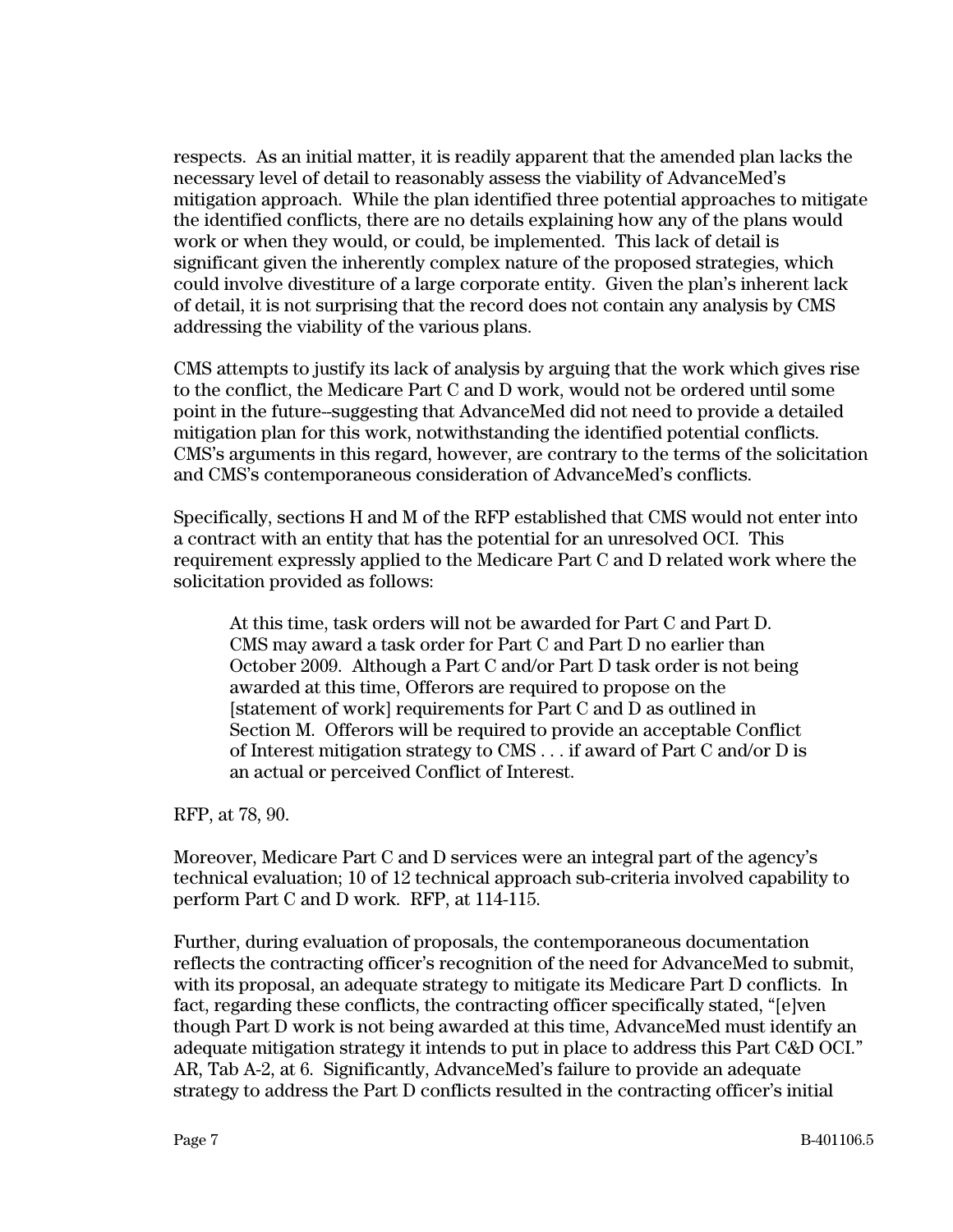respects. As an initial matter, it is readily apparent that the amended plan lacks the necessary level of detail to reasonably assess the viability of AdvanceMed's mitigation approach. While the plan identified three potential approaches to mitigate the identified conflicts, there are no details explaining how any of the plans would work or when they would, or could, be implemented. This lack of detail is significant given the inherently complex nature of the proposed strategies, which could involve divestiture of a large corporate entity. Given the plan's inherent lack of detail, it is not surprising that the record does not contain any analysis by CMS addressing the viability of the various plans.

CMS attempts to justify its lack of analysis by arguing that the work which gives rise to the conflict, the Medicare Part C and D work, would not be ordered until some point in the future--suggesting that AdvanceMed did not need to provide a detailed mitigation plan for this work, notwithstanding the identified potential conflicts. CMS's arguments in this regard, however, are contrary to the terms of the solicitation and CMS's contemporaneous consideration of AdvanceMed's conflicts.

Specifically, sections H and M of the RFP established that CMS would not enter into a contract with an entity that has the potential for an unresolved OCI. This requirement expressly applied to the Medicare Part C and D related work where the solicitation provided as follows:

At this time, task orders will not be awarded for Part C and Part D. CMS may award a task order for Part C and Part D no earlier than October 2009. Although a Part C and/or Part D task order is not being awarded at this time, Offerors are required to propose on the [statement of work] requirements for Part C and D as outlined in Section M. Offerors will be required to provide an acceptable Conflict of Interest mitigation strategy to CMS . . . if award of Part C and/or D is an actual or perceived Conflict of Interest.

RFP, at 78, 90.

Moreover, Medicare Part C and D services were an integral part of the agency's technical evaluation; 10 of 12 technical approach sub-criteria involved capability to perform Part C and D work. RFP, at 114-115.

Further, during evaluation of proposals, the contemporaneous documentation reflects the contracting officer's recognition of the need for AdvanceMed to submit, with its proposal, an adequate strategy to mitigate its Medicare Part D conflicts. In fact, regarding these conflicts, the contracting officer specifically stated, "[e]ven though Part D work is not being awarded at this time, AdvanceMed must identify an adequate mitigation strategy it intends to put in place to address this Part C&D OCI." AR, Tab A-2, at 6. Significantly, AdvanceMed's failure to provide an adequate strategy to address the Part D conflicts resulted in the contracting officer's initial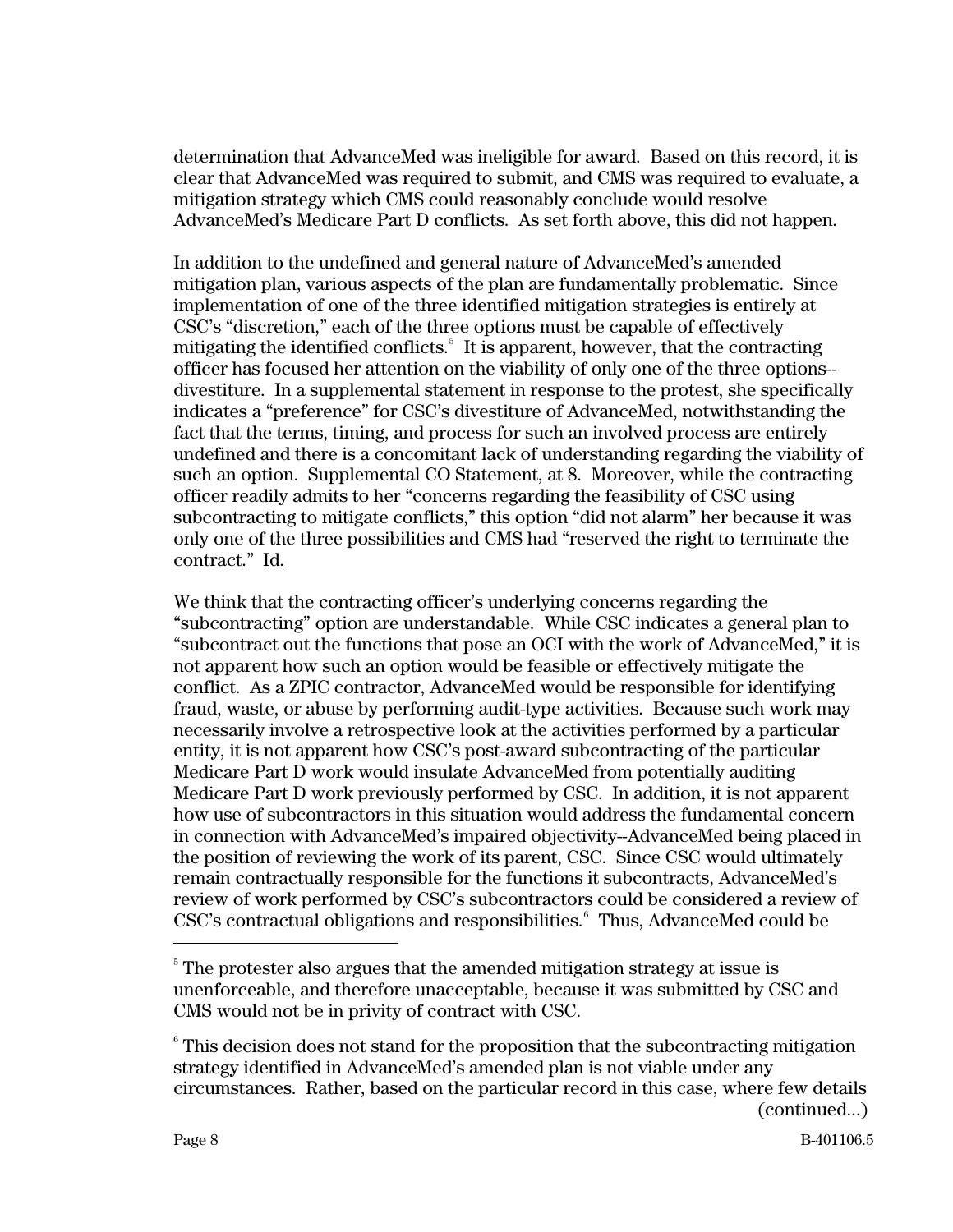determination that AdvanceMed was ineligible for award. Based on this record, it is clear that AdvanceMed was required to submit, and CMS was required to evaluate, a mitigation strategy which CMS could reasonably conclude would resolve AdvanceMed's Medicare Part D conflicts. As set forth above, this did not happen.

In addition to the undefined and general nature of AdvanceMed's amended mitigation plan, various aspects of the plan are fundamentally problematic. Since implementation of one of the three identified mitigation strategies is entirely at CSC's "discretion," each of the three options must be capable of effectively mitigating the identified conflicts.<sup>[5](#page-7-0)</sup> It is apparent, however, that the contracting officer has focused her attention on the viability of only one of the three options- divestiture. In a supplemental statement in response to the protest, she specifically indicates a "preference" for CSC's divestiture of AdvanceMed, notwithstanding the fact that the terms, timing, and process for such an involved process are entirely undefined and there is a concomitant lack of understanding regarding the viability of such an option. Supplemental CO Statement, at 8. Moreover, while the contracting officer readily admits to her "concerns regarding the feasibility of CSC using subcontracting to mitigate conflicts," this option "did not alarm" her because it was only one of the three possibilities and CMS had "reserved the right to terminate the contract." Id.

We think that the contracting officer's underlying concerns regarding the "subcontracting" option are understandable. While CSC indicates a general plan to "subcontract out the functions that pose an OCI with the work of AdvanceMed," it is not apparent how such an option would be feasible or effectively mitigate the conflict. As a ZPIC contractor, AdvanceMed would be responsible for identifying fraud, waste, or abuse by performing audit-type activities. Because such work may necessarily involve a retrospective look at the activities performed by a particular entity, it is not apparent how CSC's post-award subcontracting of the particular Medicare Part D work would insulate AdvanceMed from potentially auditing Medicare Part D work previously performed by CSC. In addition, it is not apparent how use of subcontractors in this situation would address the fundamental concern in connection with AdvanceMed's impaired objectivity--AdvanceMed being placed in the position of reviewing the work of its parent, CSC. Since CSC would ultimately remain contractually responsible for the functions it subcontracts, AdvanceMed's review of work performed by CSC's subcontractors could be considered a review of CSC's contractual obligations and responsibilities.<sup>[6](#page-7-1)</sup> Thus, AdvanceMed could be

<span id="page-7-0"></span> $5$  The protester also argues that the amended mitigation strategy at issue is unenforceable, and therefore unacceptable, because it was submitted by CSC and CMS would not be in privity of contract with CSC.

<span id="page-7-1"></span><sup>(</sup>continued...)  $6$  This decision does not stand for the proposition that the subcontracting mitigation strategy identified in AdvanceMed's amended plan is not viable under any circumstances. Rather, based on the particular record in this case, where few details